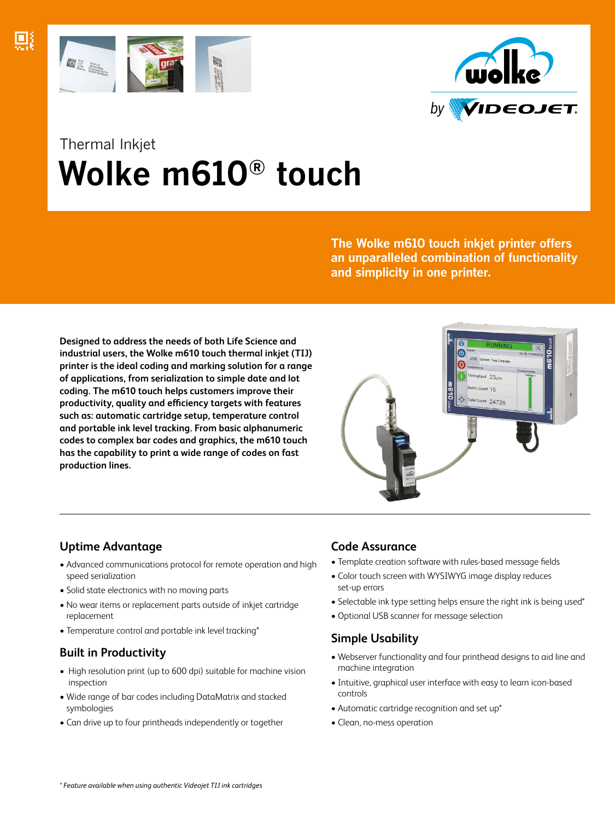



# Thermal Inkjet  **Wolke m610® touch**

**The Wolke m610 touch inkjet printer offers an unparalleled combination of functionality and simplicity in one printer.**

**Designed to address the needs of both Life Science and industrial users, the Wolke m610 touch thermal inkjet (TIJ) printer is the ideal coding and marking solution for a range of applications, from serialization to simple date and lot coding. The m610 touch helps customers improve their productivity, quality and efficiency targets with features such as: automatic cartridge setup, temperature control and portable ink level tracking. From basic alphanumeric codes to complex bar codes and graphics, the m610 touch has the capability to print a wide range of codes on fast production lines.**



# **Uptime Advantage**

- Advanced communications protocol for remote operation and high speed serialization
- Solid state electronics with no moving parts
- No wear items or replacement parts outside of inkjet cartridge replacement
- Temperature control and portable ink level tracking\*

# **Built in Productivity**

- High resolution print (up to 600 dpi) suitable for machine vision inspection
- Wide range of bar codes including DataMatrix and stacked symbologies
- Can drive up to four printheads independently or together

## **Code Assurance**

- Template creation software with rules-based message fields
- Color touch screen with WYSIWYG image display reduces set-up errors
- Selectable ink type setting helps ensure the right ink is being used\*
- Optional USB scanner for message selection

# **Simple Usability**

- Webserver functionality and four printhead designs to aid line and machine integration
- Intuitive, graphical user interface with easy to learn icon-based controls
- Automatic cartridge recognition and set up\*
- Clean, no-mess operation